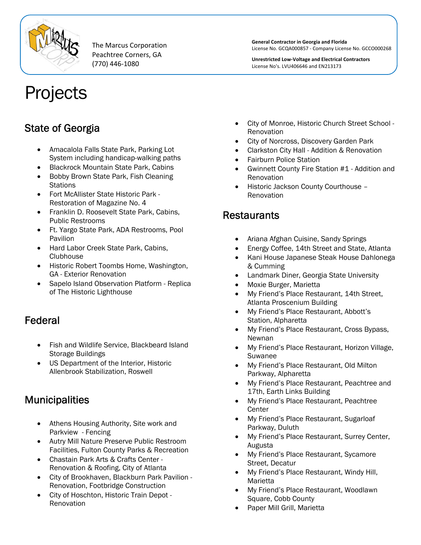

The Marcus Corporation Peachtree Corners, GA (770) 446‐1080

**General Contractor in Georgia and Florida** License No. GCQA000857 ‐ Company License No. GCCO000268

**Unrestricted Low‐Voltage and Electrical Contractors** License No's. LVU406646 and EN213173

# Projects

## State of Georgia

- Amacalola Falls State Park, Parking Lot System including handicap-walking paths
- Blackrock Mountain State Park, Cabins
- Bobby Brown State Park, Fish Cleaning **Stations**
- Fort McAllister State Historic Park Restoration of Magazine No. 4
- Franklin D. Roosevelt State Park, Cabins, Public Restrooms
- Ft. Yargo State Park, ADA Restrooms, Pool Pavilion
- Hard Labor Creek State Park, Cabins, Clubhouse
- Historic Robert Toombs Home, Washington, GA - Exterior Renovation
- Sapelo Island Observation Platform Replica of The Historic Lighthouse

## Federal

- Fish and Wildlife Service, Blackbeard Island Storage Buildings
- US Department of the Interior, Historic Allenbrook Stabilization, Roswell

## **Municipalities**

- Athens Housing Authority, Site work and Parkview - Fencing
- Autry Mill Nature Preserve Public Restroom Facilities, Fulton County Parks & Recreation
- Chastain Park Arts & Crafts Center Renovation & Roofing, City of Atlanta
- City of Brookhaven, Blackburn Park Pavilion Renovation, Footbridge Construction
- City of Hoschton, Historic Train Depot Renovation
- City of Monroe, Historic Church Street School Renovation
- City of Norcross, Discovery Garden Park
- Clarkston City Hall Addition & Renovation
- Fairburn Police Station
- Gwinnett County Fire Station #1 Addition and Renovation
- Historic Jackson County Courthouse Renovation

## Restaurants

- Ariana Afghan Cuisine, Sandy Springs
- Energy Coffee, 14th Street and State, Atlanta
- Kani House Japanese Steak House Dahlonega & Cumming
- Landmark Diner, Georgia State University
- Moxie Burger, Marietta
- My Friend's Place Restaurant, 14th Street, Atlanta Proscenium Building
- My Friend's Place Restaurant, Abbott's Station, Alpharetta
- My Friend's Place Restaurant, Cross Bypass, Newnan
- My Friend's Place Restaurant, Horizon Village, Suwanee
- My Friend's Place Restaurant, Old Milton Parkway, Alpharetta
- My Friend's Place Restaurant, Peachtree and 17th, Earth Links Building
- My Friend's Place Restaurant, Peachtree **Center**
- My Friend's Place Restaurant, Sugarloaf Parkway, Duluth
- My Friend's Place Restaurant, Surrey Center, Augusta
- My Friend's Place Restaurant, Sycamore Street, Decatur
- My Friend's Place Restaurant, Windy Hill, Marietta
- My Friend's Place Restaurant, Woodlawn Square, Cobb County
- Paper Mill Grill, Marietta